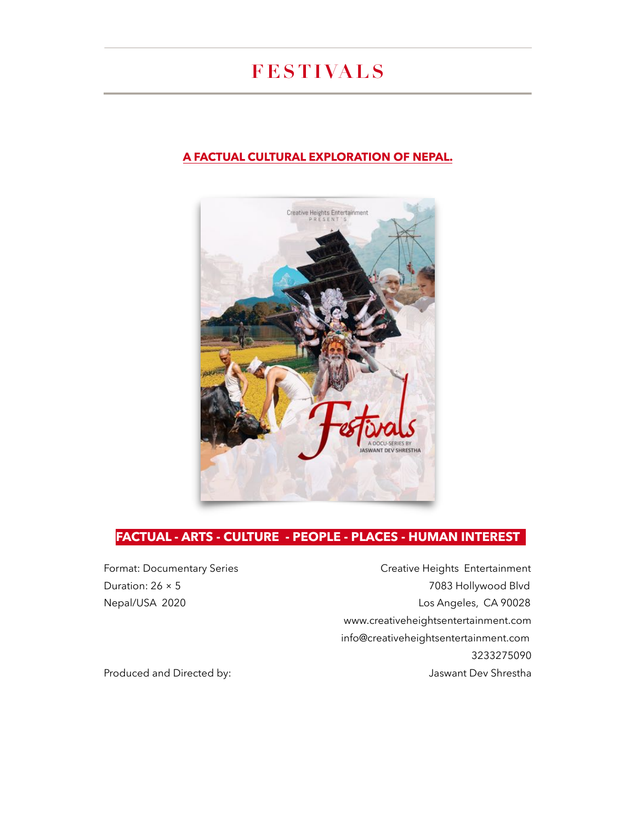# **FESTIVALS**

#### **A FACTUAL CULTURAL EXPLORATION OF NEPAL.**



#### **FACTUAL - ARTS - CULTURE - PEOPLE - PLACES - HUMAN INTEREST**

Format: Documentary Series **Creative Heights** Entertainment Duration: 26 × 5 7083 Hollywood Blvd Nepal/USA 2020 Los Angeles, CA 90028 www.creativeheightsentertainment.com [info@creativeheightsentertainment.com](mailto:creativeheightsentertainment@gmail.com) 3233275090 Produced and Directed by: The Shrestha and Directed by: A structure of the Shrestha and Directed by: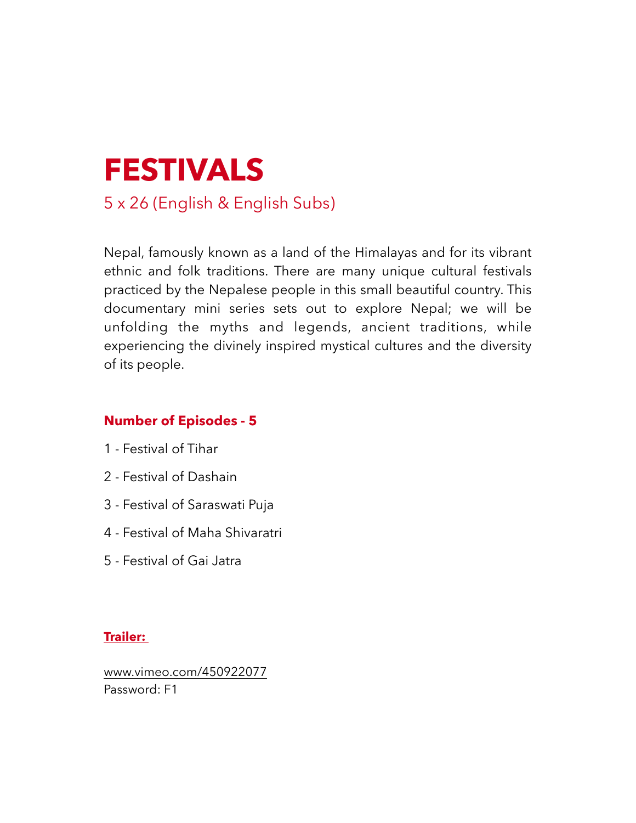

Nepal, famously known as a land of the Himalayas and for its vibrant ethnic and folk traditions. There are many unique cultural festivals practiced by the Nepalese people in this small beautiful country. This documentary mini series sets out to explore Nepal; we will be unfolding the myths and legends, ancient traditions, while experiencing the divinely inspired mystical cultures and the diversity of its people.

# **Number of Episodes - 5**

- 1 Festival of Tihar
- 2 Festival of Dashain
- 3 Festival of Saraswati Puja
- 4 Festival of Maha Shivaratri
- 5 Festival of Gai Jatra

#### **Trailer:**

www.vimeo.com/450922077 Password: F1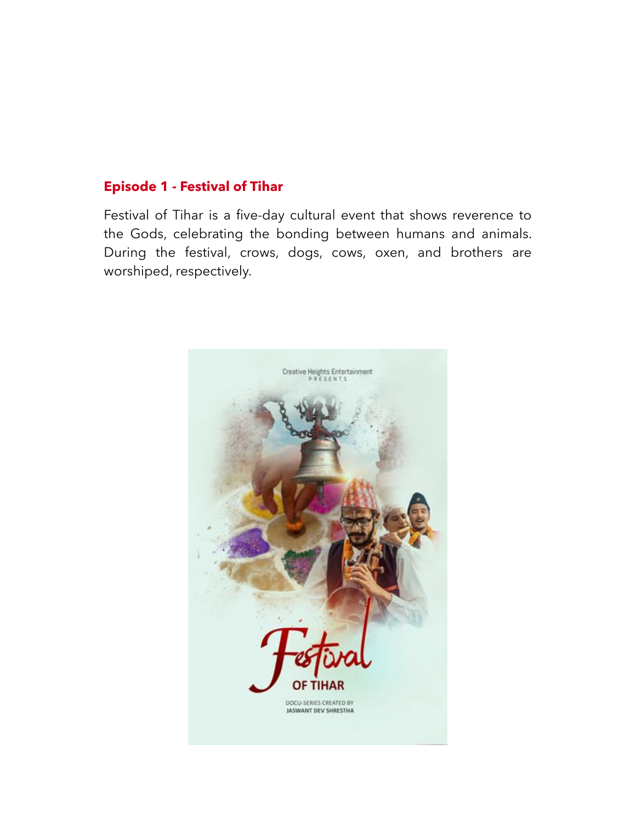# **Episode 1 - Festival of Tihar**

Festival of Tihar is a five-day cultural event that shows reverence to the Gods, celebrating the bonding between humans and animals. During the festival, crows, dogs, cows, oxen, and brothers are worshiped, respectively.

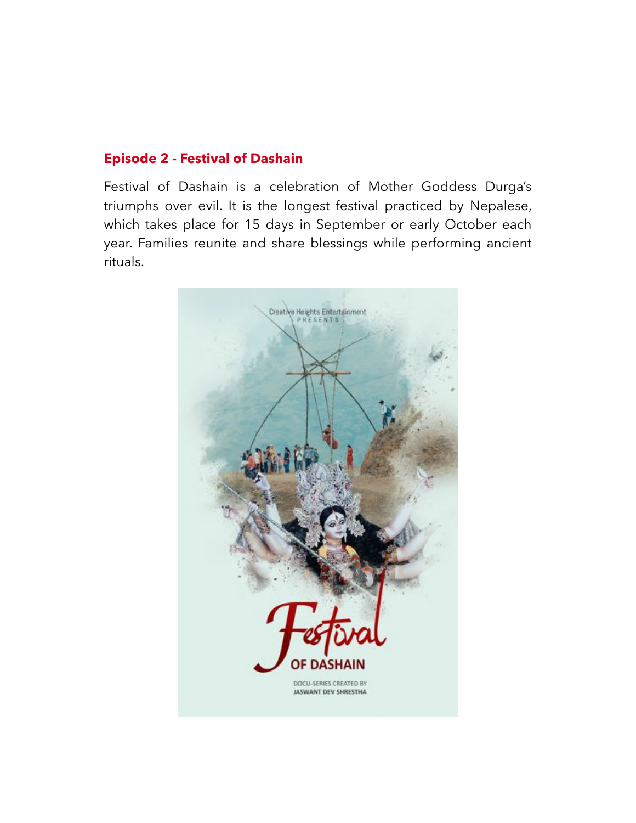## **Episode 2 - Festival of Dashain**

Festival of Dashain is a celebration of Mother Goddess Durga's triumphs over evil. It is the longest festival practiced by Nepalese, which takes place for 15 days in September or early October each year. Families reunite and share blessings while performing ancient rituals.

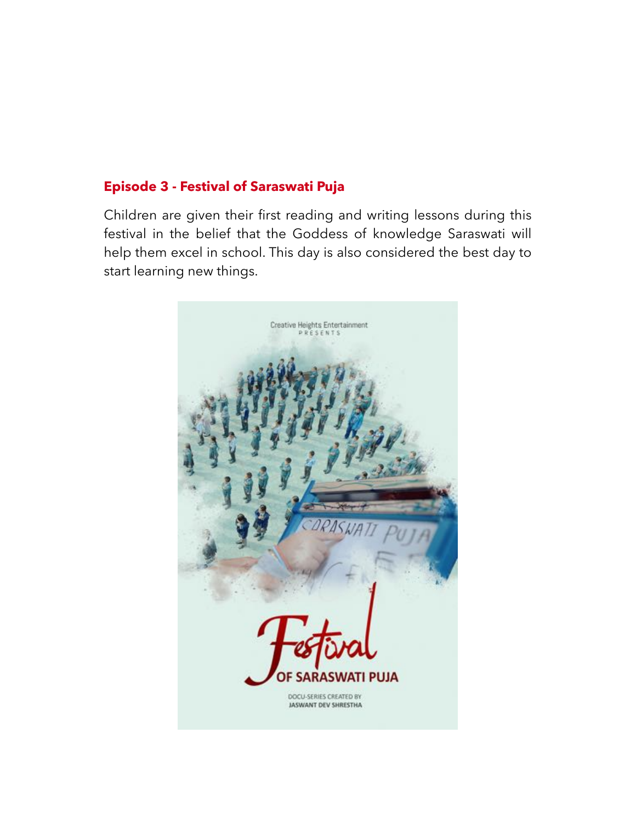# **Episode 3 - Festival of Saraswati Puja**

Children are given their first reading and writing lessons during this festival in the belief that the Goddess of knowledge Saraswati will help them excel in school. This day is also considered the best day to start learning new things.

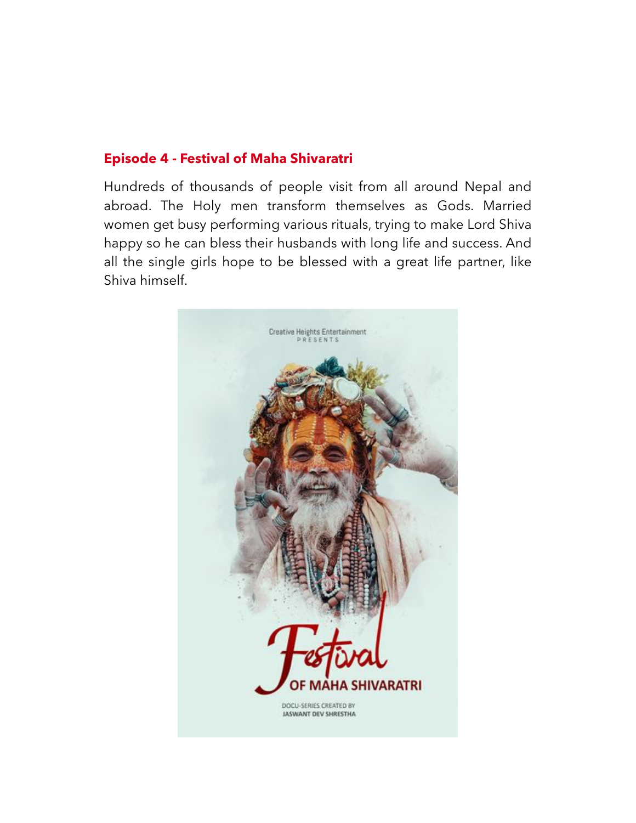## **Episode 4 - Festival of Maha Shivaratri**

Hundreds of thousands of people visit from all around Nepal and abroad. The Holy men transform themselves as Gods. Married women get busy performing various rituals, trying to make Lord Shiva happy so he can bless their husbands with long life and success. And all the single girls hope to be blessed with a great life partner, like Shiva himself.

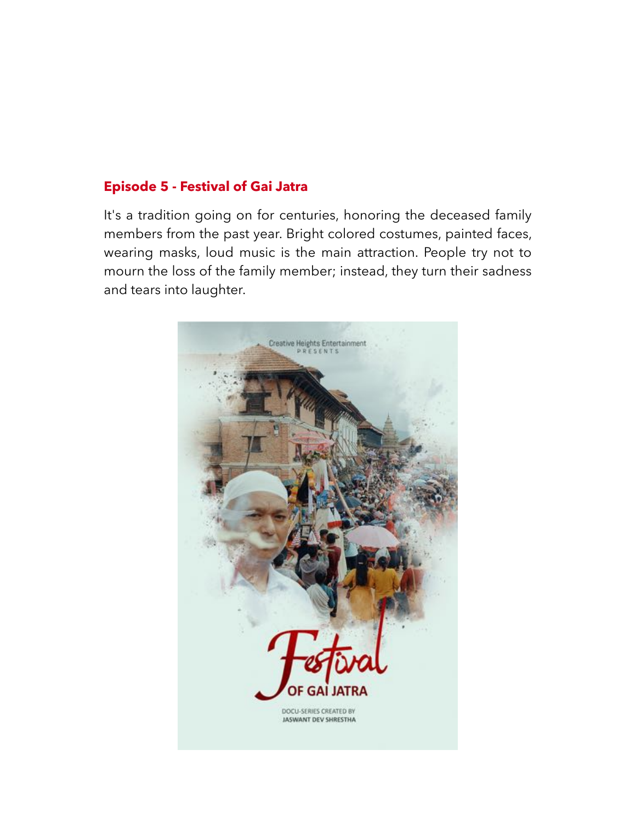# **Episode 5 - Festival of Gai Jatra**

It's a tradition going on for centuries, honoring the deceased family members from the past year. Bright colored costumes, painted faces, wearing masks, loud music is the main attraction. People try not to mourn the loss of the family member; instead, they turn their sadness and tears into laughter.